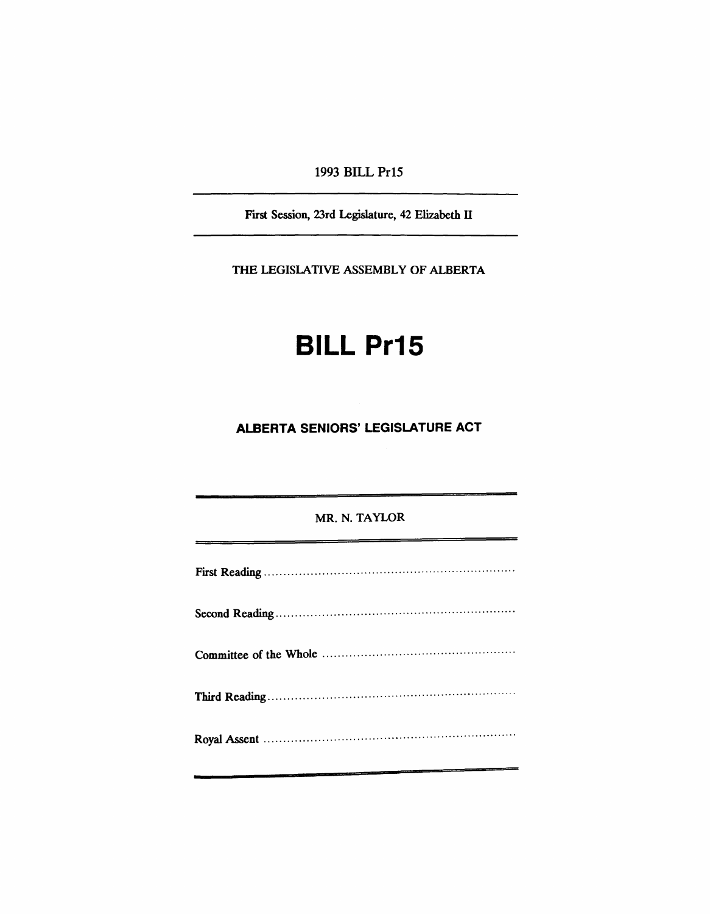1993 BILL Pr15

First Session, 23rd Legislature, 42 Elizabeth II

THE LEGISLATIVE ASSEMBLY OF ALBERTA

## **BILL Pr15**

**ALBERTA SENIORS' LEGISLATURE ACT**

MR. N. TAYLOR

| <u> The Company of the Company of the Company of the Company of the Company of the Company of the Company of the Company of the Company of the Company of the Company of the Company of the Company of the Company of the Compan</u> |
|--------------------------------------------------------------------------------------------------------------------------------------------------------------------------------------------------------------------------------------|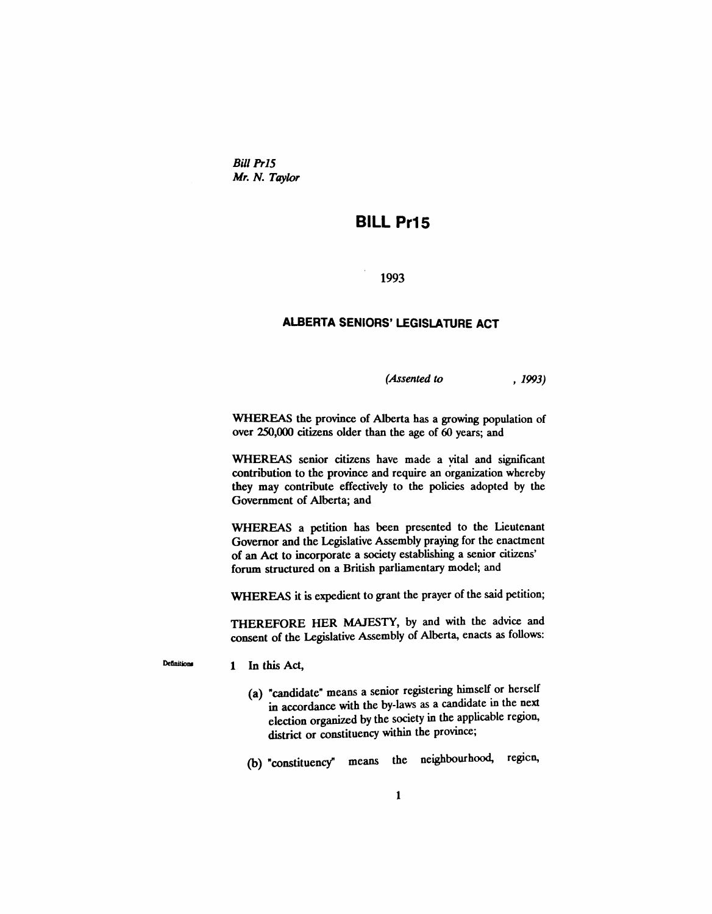Bill *PrlS Mr. N. Taylor*

## **BILL Pr15**

1993

## ALBERTA SENIORS' LEGISLATURE ACT

*(Assented to* , 1993)

WHEREAS the province of Alberta has a growing population of over 250,000 citizens older than the age of 60 years; and

WHEREAS senior citizens have made a vital and significant contribution to the province and require an organization whereby they may contribute effectively to the policies adopted by the Government of Alberta; and

WHEREAS a petition has been presented to the Lieutenant Governor and the Legislative Assembly praying for the enactment of an Act to incorporate a society establishing a senior citizens' forum structured on a British parliamentary model; and

WHEREAS it is expedient to grant the prayer of the said petition;

THEREFORE HER MAJESTY, by and with the advice and consent of the Legislative Assembly of Alberta, enacts as follows:

1 In this Act,

Definitione

- (a) "candidate" means a senior registering himself or herself in accordance with the by-laws as a candidate in the next election organized by the society in the applicable region, district or constituency within the province;
- (b) "constituency" means the neighbourhood, region,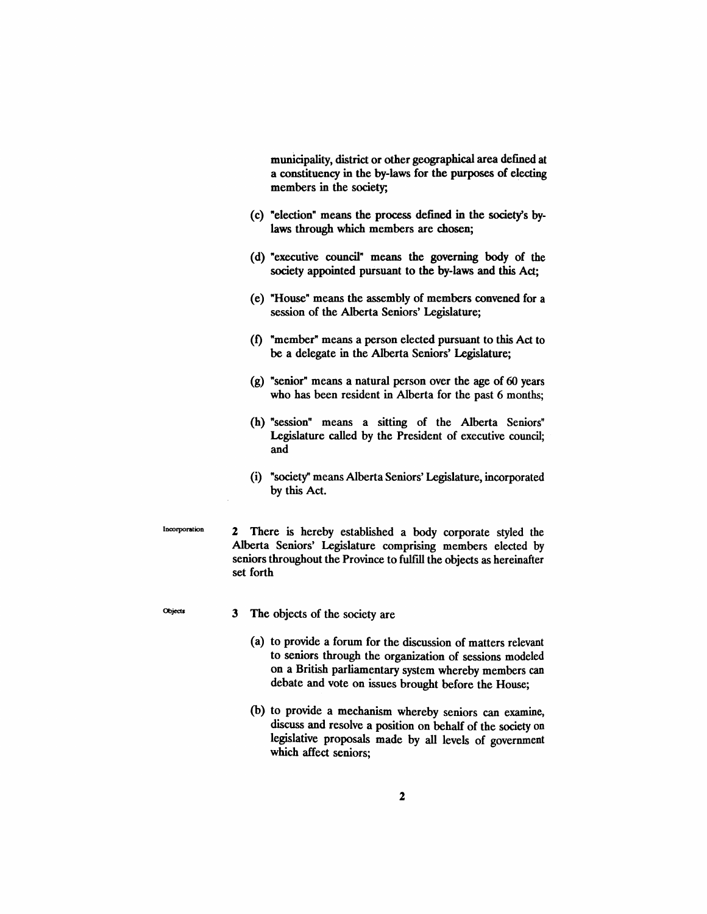municipality, district or other geographical area defined at a constituency in the by-laws for the purposes of electing members in the society;

- (c) "election" means the process defined in the society's bylaws through which members are chosen;
- (d) "executive council" means the governing body of the society appointed pursuant to the by-laws and this Act;
- (e) "House" means the assembly of members convened for a session of the Alberta Seniors' Legislature;
- (f) "member" means a person elected pursuant to this Act to be a delegate in the Alberta Seniors' Legislature;
- (g) "senior" means a natural person over the age of 60 years who has been resident in Alberta for the past 6 months;
- (h) "session" means a sitting of the Alberta Seniors" Legislature called by the President of executive council; and
- (i) "society" means Alberta Seniors' Legislature, incorporated by this Act.

Incorporation

**Objects** 

2 There is hereby established a body corporate styled the Alberta Seniors' Legislature comprising members elected by seniors throughout the Province to fulfill the objects as hereinafter set forth

- 3 The objects of the society are
	- (a) to provide a forum for the discussion of matters relevant to seniors through the organization of sessions modeled on a British parliamentary system whereby members can debate and vote on issues brought before the House;
	- (b) to provide a mechanism whereby seniors can examine, discuss and resolve a position on behalf of the society on legislative proposals made by all levels of government which affect seniors;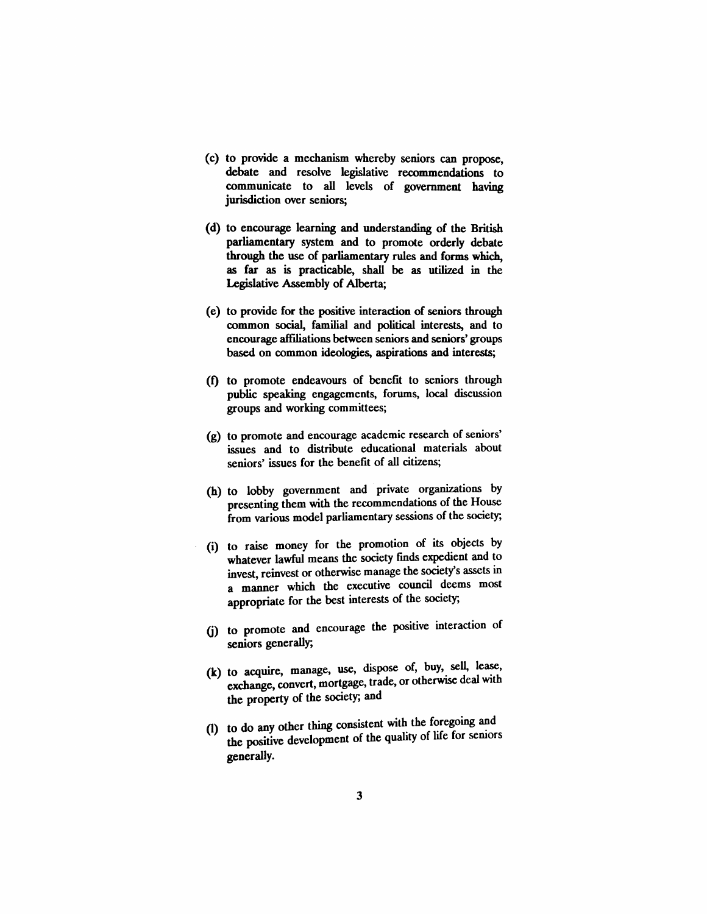- (c) to provide a mechanism whereby seniors can propose, debate and resolve legislative recommendations to communicate to all levels of government having jurisdiction over seniors;
- (d) to encourage learning and understanding of the British parliamentary system and to promote orderly debate through the use of parliamentary rules and forms which, as far as is practicable, shall be as utilized in the Legislative Assembly of Alberta;
- (e) to provide for the positive interaction of seniors through common social, familial and political interests, and to encourage affiliations between seniors and seniors' groups based on common ideologies, aspirations and interests;
- (1) to promote endeavours of benefit to seniors through public speaking engagements, forums, local discussion groups and working committees;
- (g) to promote and encourage academic research of seniors' issues and to distribute educational materials about seniors' issues for the benefit of all citizens;
- (h) to lobby government and private organizations by presenting them with the recommendations of the House from various model parliamentary sessions of the society;
- (i) to raise money for the promotion of its objects by whatever lawful means the society finds expedient and to invest, reinvest or otherwise manage the society's assets in a manner which the executive council deems most appropriate for the best interests of the society;
- (j) to promote and encourage the positive interaction of seniors generally;
- $(k)$  to acquire, manage, use, dispose of, buy, sell, lease, exchange, convert, mortgage, trade, or otherwise deal with the property of the society; and
- (I) to do any other thing consistent with the foregoing and the positive development of the quality of life for seniors generally.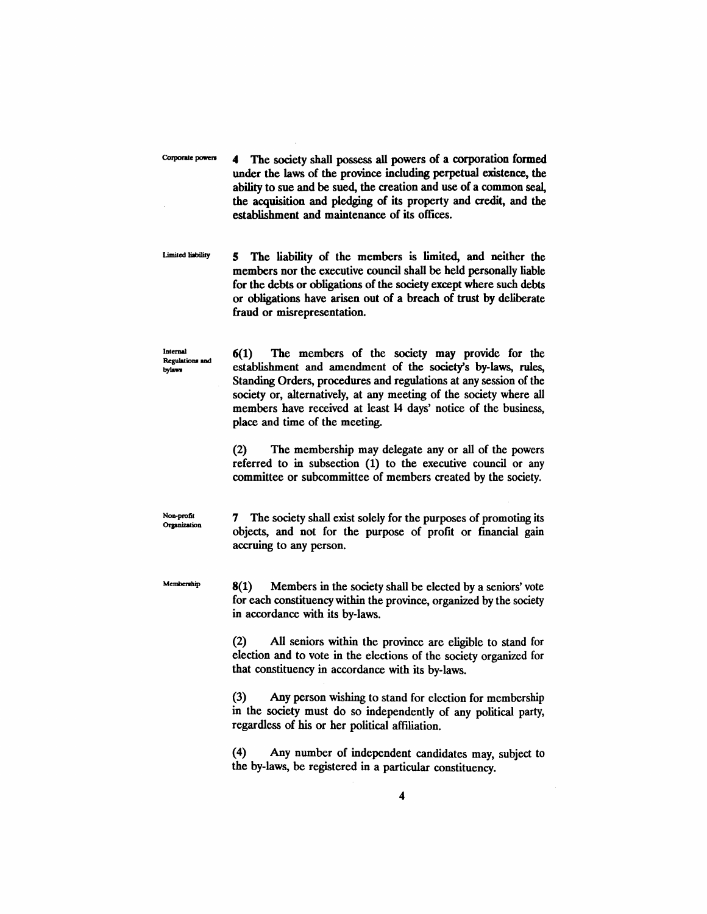Corporate powers

4 The society shall possess all powers of a corporation formed under the laws of the province including perpetual existence, the ability to sue and be sued, the creation and use of a common seal, the acquisition and pledging of its property and credit, and the establishment and maintenance of its offices.

Limited liability 5 The liability of the members is limited, and neither the members nor the executive council shall be held personally liable for the debts or obligations of the society except where such debts or obligations have arisen out of a breach of trust by deliberate fraud or misrepresentation.

6(1) The members of the society may provide for the Regulations and establishment and amendment of the society's by-laws, rules, Standing Orders, procedures and regulations at any session of the society or, alternatively, at any meeting of the society where all members have received at least 14 days' notice of the business, place and time of the meeting.

> (2) The membership may delegate any or all of the powers referred to in subsection (1) to the executive council or any committee or subcommittee of members created by the society.

Non-profit Organization

Internal

bylaws

7 The society shall exist solely for the purposes of promoting its objects, and not for the purpose of profit or fmancial gain accruing to any person.

Membership

8(1) Members in the society shall be elected by a seniors'vote for each constituency within the province, organized by the society in accordance with its by-laws.

(2) All seniors within the province are eligible to stand for election and to vote in the elections of the society organized for that constituency in accordance with its by-laws.

(3) Any person wishing to stand for election for membership in the society must do so independently of any political party, regardless of his or her political affiliation.

(4) Any number of independent candidates may, subject to the by-laws, be registered in a particular constituency.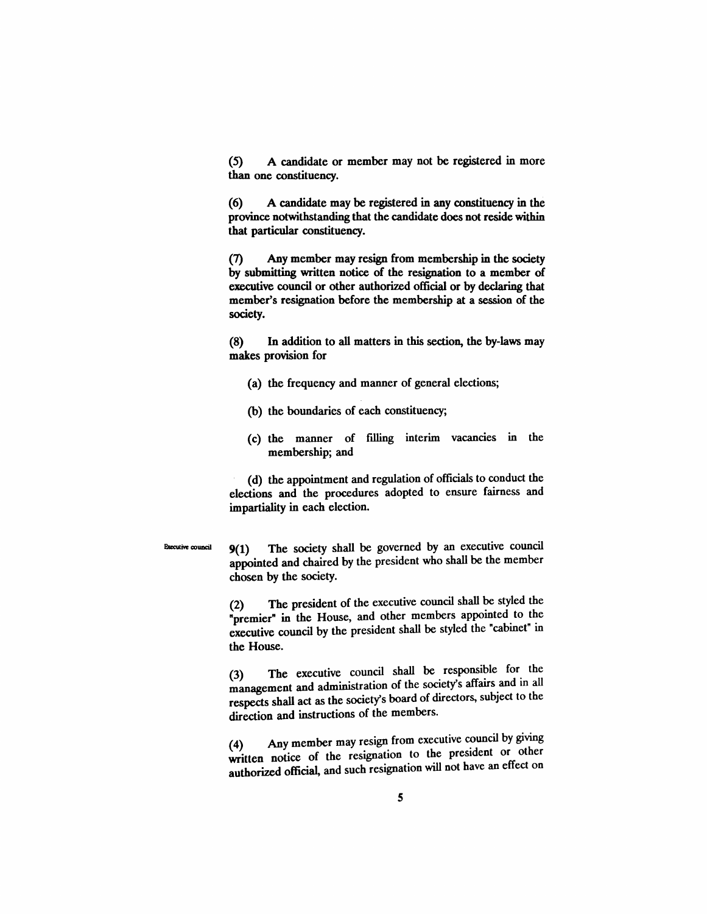(5) A candidate or member may not be registered in more than one constituency.

(6) A candidate may be registered in any constituency in the province notwithstanding that the candidate does not reside within that particular constituency.

(7) Any member may resign from membership in the society by submitting written notice of the resignation to a member of executive council or other authorized official or by declaring that member's resignation before the membership at a session of the society.

(8) In addition to all matters in this section, the by-laws may makes provision for

- (a) the frequency and manner of general elections;
- (b) the boundaries of each constituency;
- (c) the manner of filling interim vacancies in the membership; and

(d) the appointment and regulation of officials to conduct the elections and the procedures adopted to ensure fairness and impartiality in each election.

**Executive** council

9(1) The society shall be governed by an executive council appointed and chaired by the president who shall be the member chosen by the society.

(2) The president of the executive council shall be styled the "premier" in the House, and other members appointed to the executive council by the president shall be styled the "cabinet" in the House.

(3) The executive council shall be responsible for the management and administration of the society's affairs and in all respects shall act as the society's board of directors, subject to the direction and instructions of the members.

(4) Any member may resign from executive council by giving written notice of the resignation to the president or other authorized official, and such resignation will not have an effect on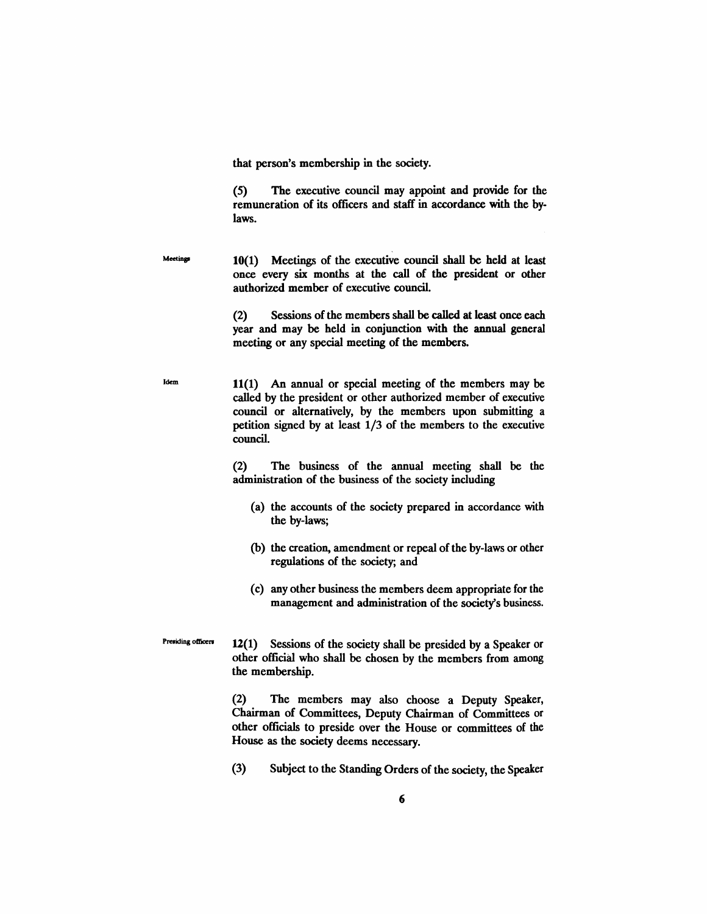that person's membership in the society.

(5) The executive council may appoint and provide for the remuneration of its officers and staff in accordance with the bylaws.

 $M$ eetings 10(1) Meetings of the executive council shall be held at least once every six months at the call of the president or other authorized member of executive council.

> (2) Sessions of the members shall be called at least once each year and may be held in conjunction with the annual general meeting Of any special meeting of the members.

 $I$ <sup>11(1)</sup> An annual or special meeting of the members may be called by the president or other authorized member of executive council or alternatively, by the members upon submitting a petition signed by at least 1/3 of the members to the executive council.

> (2) The business of the annual meeting shall be the administration of the business of the society including

- (a) the accounts of the society prepared in accordance with the by-laws;
- (b) the creation, amendment or repeal of the by-laws or other regulations of the society; and
- (c) any other business the members deem appropriate for the management and administration of the society's business.
- Presiding officers  $12(1)$  Sessions of the society shall be presided by a Speaker or other official who shall be chosen by the members from among the membership.

(2) The members may also choose a Deputy Speaker, Chairman of Committees, Deputy Chairman of Committees or other officials to preside over the House or committees of the House as the society deems necessary.

(3) Subject to the Standing Orders of the society, the Speaker